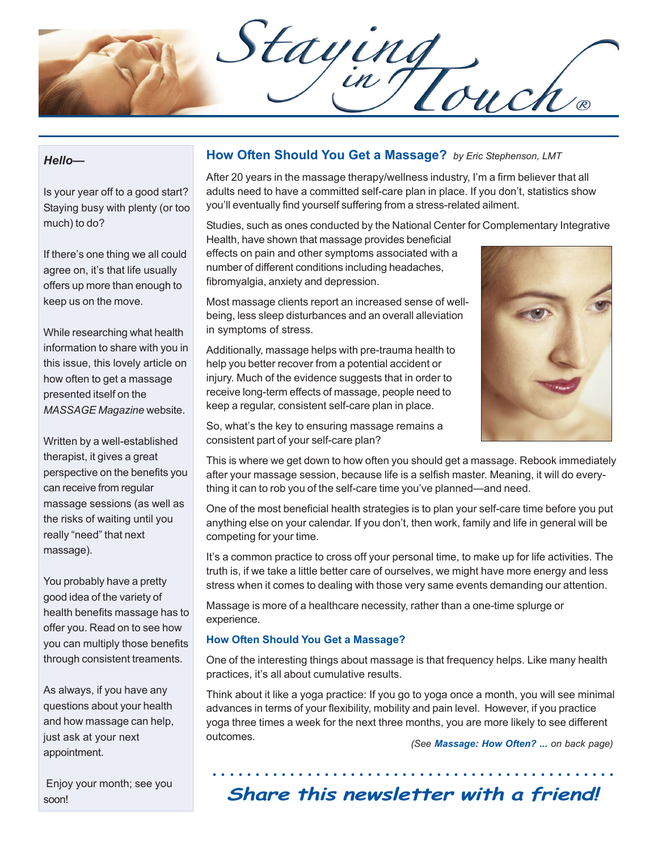Staying

### *Hello—*

Is your year off to a good start? Staying busy with plenty (or too much) to do?

If there's one thing we all could agree on, it's that life usually offers up more than enough to keep us on the move.

While researching what health information to share with you in this issue, this lovely article on how often to get a massage presented itself on the *MASSAGE Magazine* website.

Written by a well-established therapist, it gives a great perspective on the benefits you can receive from regular massage sessions (as well as the risks of waiting until you really "need" that next massage).

You probably have a pretty good idea of the variety of health benefits massage has to offer you. Read on to see how you can multiply those benefits through consistent treaments.

As always, if you have any questions about your health and how massage can help, just ask at your next appointment.

 Enjoy your month; see you soon!

# **How Often Should You Get a Massage?** *by Eric Stephenson, LMT*

After 20 years in the massage therapy/wellness industry, I'm a firm believer that all adults need to have a committed self-care plan in place. If you don't, statistics show you'll eventually find yourself suffering from a stress-related ailment.

Studies, such as ones conducted by the National Center for Complementary Integrative Health, have shown that massage provides beneficial

effects on pain and other symptoms associated with a number of different conditions including headaches, fibromyalgia, anxiety and depression.

Most massage clients report an increased sense of wellbeing, less sleep disturbances and an overall alleviation in symptoms of stress.

Additionally, massage helps with pre-trauma health to help you better recover from a potential accident or injury. Much of the evidence suggests that in order to receive long-term effects of massage, people need to keep a regular, consistent self-care plan in place.

So, what's the key to ensuring massage remains a consistent part of your self-care plan?



This is where we get down to how often you should get a massage. Rebook immediately after your massage session, because life is a selfish master. Meaning, it will do everything it can to rob you of the self-care time you've planned—and need.

One of the most beneficial health strategies is to plan your self-care time before you put anything else on your calendar. If you don't, then work, family and life in general will be competing for your time.

It's a common practice to cross off your personal time, to make up for life activities. The truth is, if we take a little better care of ourselves, we might have more energy and less stress when it comes to dealing with those very same events demanding our attention.

Massage is more of a healthcare necessity, rather than a one-time splurge or experience.

#### **How Often Should You Get a Massage?**

One of the interesting things about massage is that frequency helps. Like many health practices, it's all about cumulative results.

Think about it like a yoga practice: If you go to yoga once a month, you will see minimal advances in terms of your flexibility, mobility and pain level. However, if you practice yoga three times a week for the next three months, you are more likely to see different outcomes. *(See Massage: How Often? ... on back page)*

○○○○○○○○○○○○○○○○○○○○○○○○○○○○○○○○○○○○○○○○○○○ ○○○○ **Share this newsletter with a friend!**